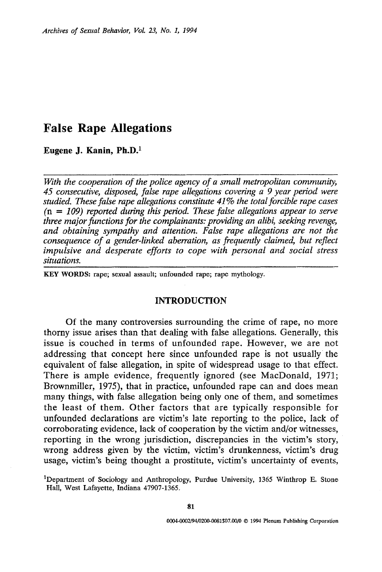# **False Rape Allegations**

Eugene J. Kanin, Ph.D.<sup>1</sup>

*With the cooperation of the police agency of a small metropolitan community, 45 consecutive, disposed, false rape allegations covering a 9 year period were studied. These false rape allegations constitute 41% the total forcible rape cases (n = 109) reported during this period. These false allegations appear to serve three major functions for the complainants: providing an alibi, seeking revenge, and obtaining sympathy and attention. False rape allegations are not the consequence of a gender-linked aberration, as frequently claimed, but reflect impulsive and desperate efforts to cope with personal and social stress situations.* 

KEY WORDS: rape; sexual assault; unfounded rape; rape mythology.

## **INTRODUCTION**

Of the many controversies surrounding the crime of rape, no more thorny issue arises than that dealing with false allegations, Generally, this issue is couched in terms of unfounded rape. However, we are not addressing that concept here since unfounded rape is not usually the equivalent of false allegation, in spite of widespread usage to that effect. There is ample evidence, frequently ignored (see MacDonald, 1971; Brownmiller, 1975), that in practice, unfounded rape can and does mean many things, with false allegation being only one of them, and sometimes the least of them. Other factors that are typically responsible for unfounded declarations are victim's late reporting to the police, lack of corroborating evidence, lack of cooperation by the victim and/or witnesses, reporting in the wrong jurisdiction, discrepancies in the victim's story, wrong address given by the victim, victim's drunkenness, victim's drug usage, victim's being thought a prostitute, victim's uncertainty of events,

1Department of Sociology and Anthropology, Purdue University, 1365 Winthrop E. Stone Hall, West Lafayette, Indiana 47907-1365,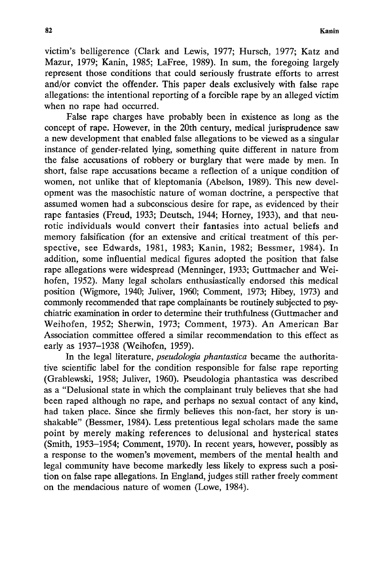victim's belligerence (Clark and Lewis, 1977; Hursch, 1977; Katz and Mazur, 1979; Kanin, 1985; LaFree, 1989). In sum, the foregoing largely represent those conditions that could seriously frustrate efforts to arrest and/or convict the offender. This paper deals exclusively with false rape allegations: the intentional reporting of a forcible rape by an alleged victim when no rape had occurred.

False rape charges have probably been in existence as long as the concept of rape. However, in the 20th century, medical jurisprudence saw a new development that enabled false allegations to be viewed as a singular instance of gender-related lying, something quite different in nature from the false accusations of robbery or burglary that were made by men. In short, false rape accusations became a reflection of a unique condition of women, not unlike that of kleptomania (Abelson, 1989). This new development was the masochistic nature of woman doctrine, a perspective that assumed women had a subconscious desire for rape, as evidenced by their rape fantasies (Freud, 1933; Deutsch, 1944; Horney, 1933), and that neurotic individuals would convert their fantasies into actual beliefs and memory falsification (for an extensive and critical treatment of this perspective, see Edwards, 1981, 1983; Kanin, 1982; Bessmer, 1984). In addition, some influential medical figures adopted the position that false rape allegations were widespread (Menninger, 1933; Guttmacher and Weihofen, 1952). Many legal scholars enthusiastically endorsed this medical position (Wigmore, 1940; Juliver, 1960; Comment, 1973; Hibey, 1973) and commonly recommended that rape complainants be routinely subjected to psychiatric examination in order to determine their truthfulness (Guttmacher and Weihofen, 1952; Sherwin, 1973; Comment, 1973). An American Bar Association committee offered a similar recommendation to this effect as early as 1937-1938 (Weihofen, 1959).

In the legal literature, *pseudologia phantastica* became the authoritative scientific label for the condition responsible for false rape reporting (Grablewski, 1958; Juliver, 1960). Pseudologia phantastica was described as a "Delusional state in which the complainant truly believes that she had been raped although no rape, and perhaps no sexual contact of any kind, had taken place. Since she firmly believes this non-fact, her story is unshakable" (Bessmer, 1984). Less pretentious legal scholars made the same point by merely making references to delusional and hysterical states (Smith, 1953-1954; Comment, 1970). In recent years, however, possibly as a response to the women's movement, members of the mental health and legal community have become markedly less likely to express such a position on false rape allegations. In England, judges still rather freely comment on the mendacious nature of women (Lowe, 1984).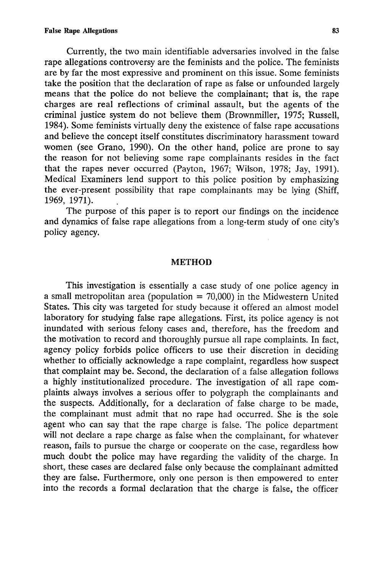Currently, the two main identifiable adversaries involved in the false rape allegations controversy are the feminists and the police. The feminists are by far the most expressive and prominent on this issue. Some feminists take the position that the declaration of rape as false or unfounded largely means that the police do not believe the complainant; that is, the rape charges are real reflections of criminal assault, but the agents of the criminal justice system do not believe them (Brownmiller, 1975; Russell, 1984). Some feminists virtually deny the existence of false rape accusations and believe the concept itself constitutes discriminatory harassment toward women (see Grano, 1990). On the other hand, police are prone to say the reason for not believing some rape complainants resides in the fact that the rapes never occurred (Payton, 1967; Wilson, 1978; Jay, 1991). Medical Examiners lend support to this police position by emphasizing the ever-present possibility that rape complainants may be lying (Shiff, 1969, 1971).

The purpose of this paper is to report our findings on the incidence and dynamics of false rape allegations from a long-term study of one city's policy agency.

# **METHOD**

This investigation is essentially a case study of one police agency in a small metropolitan area (population  $= 70,000$ ) in the Midwestern United States. This city was targeted for study because it offered an almost model laboratory for studying false rape allegations. First, its police agency is not inundated with serious felony cases and, therefore, has the freedom and the motivation to record and thoroughly pursue all rape complaints. In fact, agency policy forbids police officers to use their discretion in deciding whether to officially acknowledge a rape complaint, regardless how suspect that complaint may be. Second, the declaration of a false allegation follows a highly institutionalized procedure. The investigation of all rape complaints always involves a serious offer to polygraph the complainants and the suspects. Additionally, for a declaration of false charge to be made, the complainant must admit that no rape had occurred. She is the sole agent who can say that the rape charge is false. The police department will not declare a rape charge as false when the complainant, for whatever reason, fails to pursue the charge or cooperate on the case, regardless how much doubt the police may have regarding the validity of the charge. In short, these cases are declared false only because the complainant admitted they are false. Furthermore, only one person is then empowered to enter into the records a formal declaration that the charge is false, the officer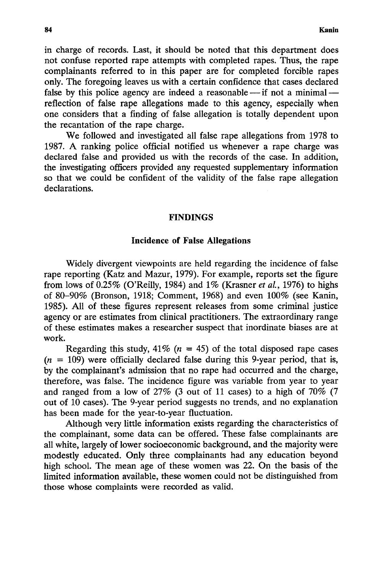in charge of records. Last, it should be noted that this department does not confuse reported rape attempts with completed rapes. Thus, the rape complainants referred to in this paper are for completed forcible rapes only. The foregoing leaves us with a certain confidence that cases declared false by this police agency are indeed a reasonable --- if not a minimal-reflection of false rape allegations made to this agency, especially when one considers that a finding of false allegation is totally dependent upon the recantation of the rape charge.

We followed and investigated all false rape allegations from 1978 to 1987. A ranking police official notified us whenever a rape charge was declared false and provided us with the records of the case. In addition, the investigating officers provided any requested supplementary information so that we could be confident of the validity of the false rape allegation declarations.

#### FINDINGS

## **Incidence of False Allegations**

Widely divergent viewpoints are held regarding the incidence of false rape reporting (Katz and Mazur, 1979). For example, reports set the figure from lows of 0.25% (O'Reilly, 1984) and 1% (Krasner *et aL,* 1976) to highs of 80-90% (Bronson, 1918; Comment, 1968) and even 100% (see Kanin, 1985). All of these figures represent releases from some criminal justice agency or are estimates from clinical practitioners. The extraordinary range of these estimates makes a researcher suspect that inordinate biases are at work.

Regarding this study,  $41\%$  ( $n = 45$ ) of the total disposed rape cases  $(n = 109)$  were officially declared false during this 9-year period, that is, by the complainant's admission that no rape had occurred and the charge, therefore, was false. The incidence figure was variable from year to year and ranged from a low of 27% (3 out of 11 cases) to a high of 70% (7 out of 10 cases). The 9-year period suggests no trends, and no explanation has been made for the year-to-year fluctuation.

Although very little information exists regarding the characteristics of the complainant, some data can be offered. These false complainants are all white, largely of lower socioeconomic background, and the majority were modestly educated. Only three complainants had any education beyond high school. The mean age of these women was 22. On the basis of the limited information available, these women could not be distinguished from those whose complaints were recorded as valid.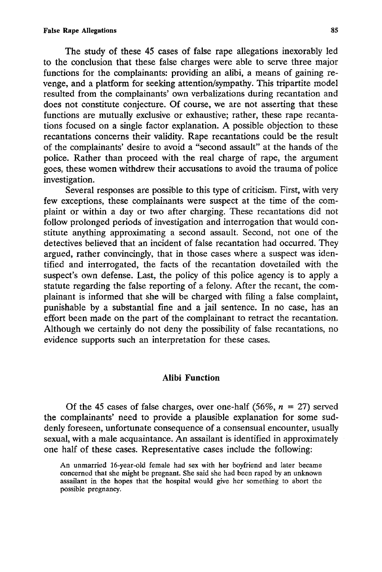The study of these 45 cases of false rape allegations inexorably led to the conclusion that these false charges were able to serve three major functions for the complainants: providing an alibi, a means of gaining revenge, and a platform for seeking attention/sympathy. This tripartite model resulted from the complainants' own verbalizations during recantation and does not constitute conjecture. Of course, we are not asserting that these functions are mutually exclusive or exhaustive; rather, these rape recantations focused on a single factor explanation. A possible objection to these recantations concerns their validity. Rape recantations could be the result of the complainants' desire to avoid a "second assault" at the hands of the police. Rather than proceed with the real charge of rape, the argument goes, these women withdrew their accusations to avoid the trauma of police investigation.

Several responses are possible to this type of criticism. First, with very few exceptions, these complainants were suspect at the time of the complaint or within a day or two after charging. These recantations did not follow prolonged periods of investigation and interrogation that would constitute anything approximating a second assault. Second, not one of the detectives believed that an incident of false recantation had occurred. They argued, rather convincingly, that in those cases where a suspect was identified and interrogated, the facts of the recantation dovetailed with the suspect's own defense. Last, the policy of this police agency is to apply a statute regarding the false reporting of a felony. After the recant, the complainant is informed that she will be charged with filing a false complaint, punishable by a substantial fine and a jail sentence. In no case, has an effort been made on the part of the complainant to retract the recantation. Although we certainly do not deny the possibility of false recantations, no evidence supports such an interpretation for these cases.

# **Alibi Function**

Of the 45 cases of false charges, over one-half  $(56\%, n = 27)$  served the complainants' need to provide a plausible explanation for some suddenly foreseen, unfortunate consequence of a consensual encounter, usually sexual, with a male acquaintance. An assailant is identified in approximately one half of these cases. Representative cases include the following:

An unmarried 16-year-old female had sex with her boyfriend and later became concerned that she might be pregnant. She said she had been raped by an unknown assailant in the hopes that the hospital would give her something to abort the possible pregnancy.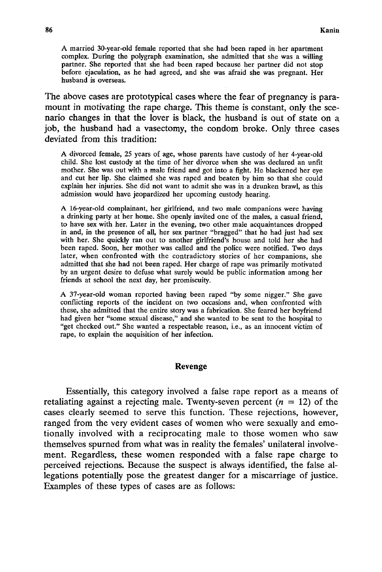A married 30-year-old female reported that she had been raped in her apartment complex. During the polygraph examination, she admitted that she was a willing partner. She reported that she had been raped because her partner did not stop before ejaculation, as he had agreed, and she was afraid she was pregnant. Her husband is overseas.

The above cases are prototypical cases where the fear of pregnancy is paramount **in motivating the rape charge. This theme is constant, only the scenario changes in that the lover is black, the husband is out of state on a job, the husband had a vasectomy, the condom broke. Only three cases**  deviated from this tradition:

A divorced female, 25 years of age, whose parents have custody of her 4-year-old ehild. She lost custody at the time of her divorce when she was declared an unfit mother. She was out with a male friend and got into a fight. He blackened her eye and cut her lip. She claimed she was raped and beaten by him so that she could explain her injuries. She did not want to admit she was in a drunken brawl, as this admission would have jeopardized her upcoming custody hearing.

A 16-year-old eomplainant, her girlfriend, and two male companions were having a drinking party at her home. She openly invited one of the males, a easual friend, to have sex with her. Later in the evening, two other male acquaintances dropped in and, in the presence of all, her sex partner "bragged" that he had just had sex with her. She quickly ran out to another girlfriend's house and told her she had been raped. Soon, her mother was called and the police were notified. Two days later, when confronted with the contradictory stories of her companions, she admitted that she had not been raped. Her charge of rape was primarily motivated by an urgent desire to defuse what surely would be public information among her friends at sehool the next day, her promiscuity.

A 37-year-old woman reported having been raped "by some nigger." She gave conflieting reports of the incident on two occasions and, when confronted with these, she admitted that the entire story was a fabrication. She feared her boyfriend had given her "some sexual disease," and she wanted to be sent to the hospital to ùger checked out." She wanted a respectable reason, i.e., as an innocent victim of rape, to explain the acquisition of her infection.

#### **Revenge**

**Essentially, this category involved a false rape report as a means of**  retaliating against a rejecting male. Twenty-seven percent  $(n = 12)$  of the **cases clearly seemed to serve this function. These rejections, however, ranged from the very evident cases of women who were sexually and emotionally involved with a reciprocating male to those women who saw themselves spurned from what was in reality the females' unilateral involvement. Regardless, these women responded with a false rape charge to perceived rejections. Because the suspect is always identified, the false allegations potentially pose the greatest danger for a miscarriage of justice. Examples of these types of cases are as follows:**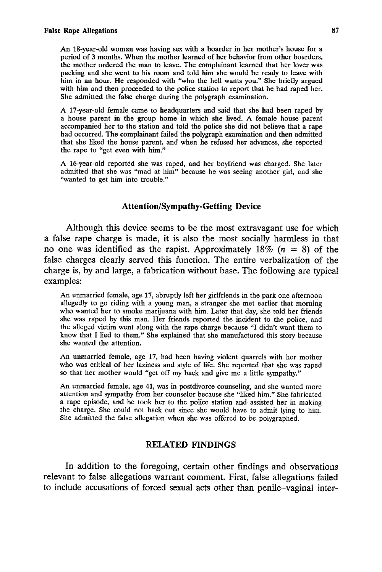An 18-year-oid woman was having sex with a boarder in her mother's house for a period of 3 months. When the mother learned of her behavior frorn other boarders, the rnother ordered the man to leave. The complainant learned that her Iover was packing and she weht to his room and told hirn she would be ready to leave with him in an hour. He responded with "who the hell wants you." She briefly argued with him and then proceeded to the police station to report that he had raped her. She admitted the false charge during the polygraph examination.

A 17-year-old female came to headquarters and said that she had been raped by a house parent in the group home in which she lived. A female house parent accornpanied her to the station and told the police she did not believe that a rape had occurred. The complainant failed the polygraph examination and then admitted that she liked the house parent, and when he refused her advances, she reported the rape to "get even with him."

A 16-year-old reported she was raped, and her boyfriend was charged. She later admitted that she was "mad at him" because he was seeing another girl, and she "wanted to get him into trouble."

#### **Attention/Sympathy-Getting Device**

Although this device seems to be the most extravagant use for which a false rape charge is made, it is also the most socially harmless in that no one was identified as the rapist. Approximately  $18\%$  ( $n = 8$ ) of the false charges clearly served this function. The entire verbalization of the charge is, by and large, a fabrication without base. The following are typical examples:

An unmarried female, age 17, abruptly left her girlfriends in the park one afternoon allegedly to go riding with a young man, a stranger she met earlier that morning who wanted her to smoke marijuana with him. Later that day, she told her friends she was raped by this man. Her friends reported the incident to the police, and the alleged vicüm went along with the rape charge because "I didn't want them to know that I lied to them." She explained that she manufactured this story because she wanted the attention.

An unmarried female, age 17, had been having violent quarrels with her mother who was critical of her laziness and style of life. She reported that she was raped so that her mother would "get off my back and give me a little sympathy."

An unmarried female, age 41, was in postdivorce counseling, and she wanted more attention and sympathy from her counselor because she "liked hirn." She fabricated a rape episode, and he took her to the police station and assisted her in making the charge. She could not back out since she would have to admit lying to hirn. She admitted the false allegation when she was offered to be polygraphed.

### **RELATED FINDINGS**

In addition to the foregoing, certain other findings and observations relevant to false allegations warrant comment. First, false ällegations failed to include accusations of forced sexual acts other than penile-vaginal inter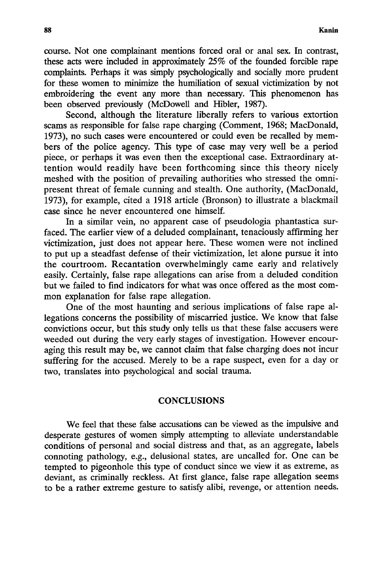course. Not one complainant mentions forced oral or anal sex. In contrast, these acts were included in approximately 25% of the founded forcible rape complaints. Perhaps it was simply psychologically and socially more prudent for these women to minimize the humiliation of sexual victimization by not embroidering the event any more than necessary. This phenomenon has been observed previously (McDowell and Hibler, 1987).

Second, although the literature liberally refers to various extortion scams as responsible for false rape charging (Comment, 1968; MacDonald, 1973), no such cases were encountered or could even be recalled by members of the police agency. This type of case may very weil be a period piece, or perhaps it was even then the exceptional case. Extraordinary attention would readily have been forthcoming since this theory nicely meshed with the position of prevailing authorities who stressed the omnipresent threat of female cunning and stealth. One authority, (MacDonald, 1973), for example, cited a 1918 article (Bronson) to illustrate a blackmail case since he never encountered one himself.

In a similar vein, no apparent case of pseudologia phantastica surfaced. The earlier view of a deluded complainant, tenaciously affirming her victimization, just does not appear here. These women were not inclined to put up a steadfast defense of their victimization, let alone pursue it into the courtroom. Recantation overwhelmingly came early and relatively easily. Certainly, false rape allegations can arise from a deluded condition but we failed to find indicators for what was once offered as the most common explanation for false rape allegation.

One of the most haunting and serious implications of false rape allegations concerns the possibility of miscarried justice. We know that false convictions occur, but this study only teils us that these false accusers were weeded out during the very early stages of investigation. However encouraging this result may be, we cannot claim that false charging does not incur suffering for the accused. Merely to be a rape suspect, even for a day or two, translates into psychological and social trauma.

## **CONCLUSIONS**

We feel that these false accusations can be viewed as the impulsive and desperate gestures of women simply attempting to alleviate understandable conditions of personal and social distress and that, as an aggregate, labels connoting pathology, e.g., delusional states, are uncalled for. One can be tempted to pigeonhole this type of conduct since we view it as extreme, as deviant, as criminally reckless. At first glance, false rape allegation seems to be a rather extreme gesture to satisfy alibi, revenge, or attention needs.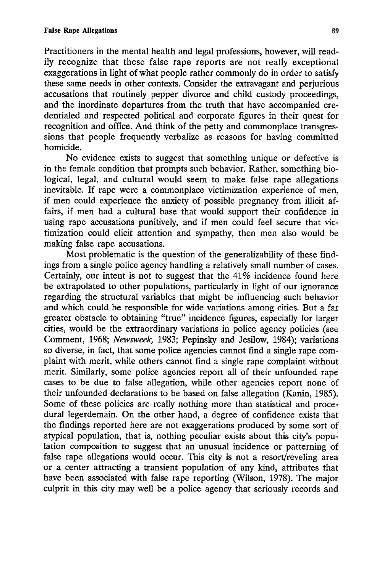Practitioners in the mental health and legal professions, however, will readily recognize that these false rape reports are not really exceptional exaggerations in light of what people rather commonly do in order to satisfy these same needs in other contexts. Consider the extravagant and perjurious accusations that routinely pepper divorce and child custody proceedings, and the inordinate departures from the truth that have accompanied credentialed and respected political and corporate figures in their quest for recognition and office. And think of the petty and commonplace transgressions that people frequently verbalize as reasons for having committed homicide.

No evidence exists to suggest that something unique or defective is in the female condition that prompts such behavior. Rather, something biological, legal, and cultural would seem to make false rape allegations inevitable. If rape were a commonplace victimization experience of men, if men could experience the anxiety of possible pregnancy from illicit affairs, if men had a cultural base that would support their confidence in using rape accusations punitively, and if men could feel secure that victimization could elicit attention and syrnpathy, then men also would be making false rape accusations.

Most problematic is the question of the generalizability of these findings from a single police agency handling a relatively small number of cases. Certainly, our intent is not to suggest that the  $41\%$  incidence found here be extrapolated to other populations, particularly in light of our ignorance regarding the structural variables that might be influencing such behavior and which could be responsible for wide variations among cities. But a far greater obstacle to obtaining "true" incidence figures, especially for larger cities, would be the extraordinary variations in police agency policies (see Comment, 1968; *Newsweek,* 1983; Pepinsky and Jesilow, 1984); variations so diverse, in fact, that some police agencies cannot find a single rape complaint with merit, while others cannot find a single rape complaint without merit. Similarly, some police agencies report all of their unfounded rape cases to be due to false allegation, while other agencies report none of their unfounded declarations to be based on false allegation (Kanin, 1985). Some of these policies are really nothing more than statistical and procedural legerdemain. On the other hand, a degree of confidence exists that the findings reported here are not exaggerations produced by some sort of atypical population, that is, nothing peculiar exists about this city's population composition to suggest that an unusual incidence or patterning of false rape allegations would occur. This city is not a resort/reveling area or a center attracting a transient population of any kind, attributes that have been associated with false rape reporting (Wilson, 1978). The major culprit in this city may weil be a police agency that seriously records and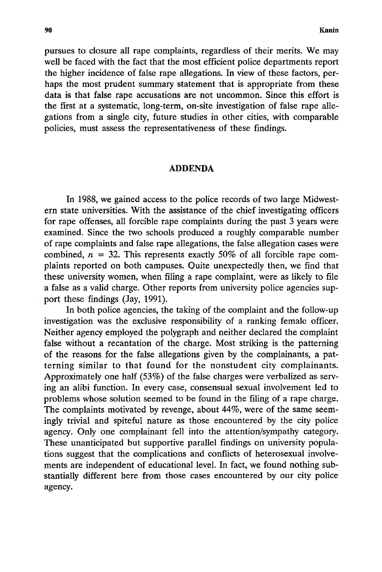pursues to closure all rape complaints, regardless of their merits. We may well be faced with the fact that the most efficient police departments report the higher incidence of false rape allegations. In view of these factors, perhaps the most prudent summary statement that is appropriate from these data is that false rape accusations are not uncommon. Since this effort is the first at a systematic, long-term, on-site investigation of false rape allegations from a single city, future studies in other cities, with comparable policies, must assess the representativeness of these findings.

#### **ADDENDA**

In 1988, we gained access to the police records of two large Midwestern state universities. With the assistance of the chief investigating officers for rape offenses, all forcible rape complaints during the past 3 years were examined. Since the two schools produced a roughly comparable number of rape complaints and false rape allegations, the false allegation cases were combined,  $n = 32$ . This represents exactly 50% of all forcible rape complaints reported on both campuses. Quite unexpectedly then, we find that these university women, when filing a rape complaint, were as likely to file a false as a valid charge. Other reports from university police agencies support these findings (Jay, 1991).

In both police agencies, the taking of the complaint and the follow-up investigation was the exclusive responsibility of a ranking female officer. Neither agency employed the polygraph and neither declared the complaint false without a recantation of the charge. Most striking is the patterning of the reasons for the false allegations given by the complainants, a patterning similar to that found for the nonstudent city complainants. Approximately one half (53%) of the false charges were verbalized as serving an alibi function. In every case, consensual sexual involvement led to problems whose solution seemed to be found in the filing of a rape charge. The complaints motivated by revenge, about 44%, were of the same seemingly trivial and spiteful nature as those encountered by the city police agency. Only one complainant fell into the attention/sympathy category. These unanticipated but supportive parallel findings on university populations suggest that the complications and conflicts of heterosexual involvements are independent of educational level. In fact, we found nothing substantially different here from those cases encountered by our city police agency.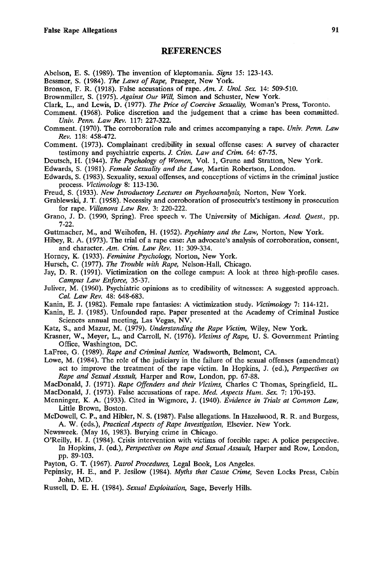#### REFERENCES

Abelson, E. S. (1989). The invention of kleptomania. *Signs* 15: 123-143.

- Bessmer, S. (1984). *The Laws of Rape,* Praeger, New York.
- Bronson, F. R. (1918). False accusations of rape. *Am. Z Urol. Sex.* 14: 509-510.

Brownmiller, S. (1975). *Against Our Will,* Simon and Schuster, New York.

- Clark, L., and Lewis, D. (1977). *The Price of Coercive Sexuality,* Woman's Press, Toronto.
- Comment. (1968). Police discretion and the judgement that a crime has been committed. *Univ. Penn. Law Rev.* 117: 227-322.
- Comment. (1970). The corroboration rule and crimes accompanying a rape. *Univ. Fenn. Law Rer.* 118: 458-472.
- Comment. (1973). Complainant credibility in sexual offense cases: A survey of character testimony and psychiatrie experts. Z *Crim. Law and Crim.* 64: 67-75.
- Deutsch, H. (1944). *The Psychology of Women,* Vol. 1, Grune and Stratton, New York.

Edwards, S. (1981). *Female Sexuality and the Law,* Martin Robertson, London.

- Edwards, S. (1983). Sexuality, sexual offenses, and conceptions of victims in the criminal justiee proeess. *Victimology 8:* 113-130.
- Freud, S. (1933). *New lntroductory Lectures on Psychoanalysis,* Norton, New York.
- Grablewski, J. T. (1958). Necessity and corroboration of prosecutrix's testimony in prosecution for rape. *Villanova Law Rev.* 3: 220-222.
- Grano, J. D. (1990, Spring). Free speech v. The University of Michigan. *Acad. Quest.,* pp. 7-22.
- Guttmacher, M., and Weihofen, H. (1952). *Psychiatry and the Law,* Norton, New York.
- Hibey, R. A. (1973). The trial of a rape case: An advocate's analysis of corroboration, consent, and character. *Am. Crim. Law Rev.* 11: 309-334.
- Homey, K. (1933). *Feminine Psychology,* Norton, New York.
- Hursch, C. (1977). *The Trouble with Rape,* Nelson-Hall, Chicago.
- Jay, D. R. (1991). Victimization on the college campus: A look at three high-profile cases. *Campus Law En force,* 35-37.
- Juliver, M. (1960). Psychiatric opinions as to credibility of witnesses: A suggested approach. *Cal. Law Rev.* 48: 648-683.
- Kanin, E. J. (1982). Female rape fantasies: A victimizaüon study. *Victimology* 7: 114-121.
- Kanin, E. J. (1985). Unfounded rape. Paper presented at the Academy of Criminal Justice Sciences annual meeting, Las Vegas, NV.
- Katz, S., and Mazur, M. (1979). *Understanding the Rape Victim,* Wiley, New York.
- Krasner, W., Meyer, L., and Carroll, N. (1976). *Victims of Rape,* U. S. Government Printing Office, Washington, DC.
- LaFree, G. (1989). *Rape and Criminal Justice,* Wadsworth, Belmont, CA.
- Lowe, M. (1984). The role of the judiciary in the failure of the sexual offenses (amendment) act to improve the treatment of the rape victim. In Hopkins, J. (ed.), *Perspectives on Rape and Sexual Assault,* Harper and Row, London, pp. 67-88.

MacDonald, J. (1971). *Rape Offenders and their Victims*, Charles C Thomas, Springfield, IL. MacDonald, J. (1973). False accusations of rape. *Med. Aspects Hum. Sex.* 7: 170-193.

- Menninger, K. A. (1933). Cited in Wigmore, J. (1940). *Evidence in Trials at Common Law,*  Little Brown, Boston.
- McDowell, C. P., and Hibler, N. S. (1987). False allegations. In Hazelwood, R. R. and Burgess, A. W. (eds.), *Practical Aspects of Rape Investigation,* Elsevier. New York.

Newsweek. (May 16, 1983). Burying crime in Chicago.

- O'Reilly, H. J. (1984). Crisis intervention with victims of forcible rape: A police perspective. In Hopkins, J. (ed.), *Perspectives on Rape and Sexual Assault,* Harper and Row, London, pp. 89-103.
- Payton, G. T, (1967). *Patrol Procedures,* Legal Book, Los Angeles.
- Pepinsky, H. E, and P. Jesilow (1984). *Myths that Cause Crime,* Seven Locks Press, Cabin John, MD.
- Russell, D. E. H. (1984). *Sexual Exploitation,* Sage, Beverly Hills.